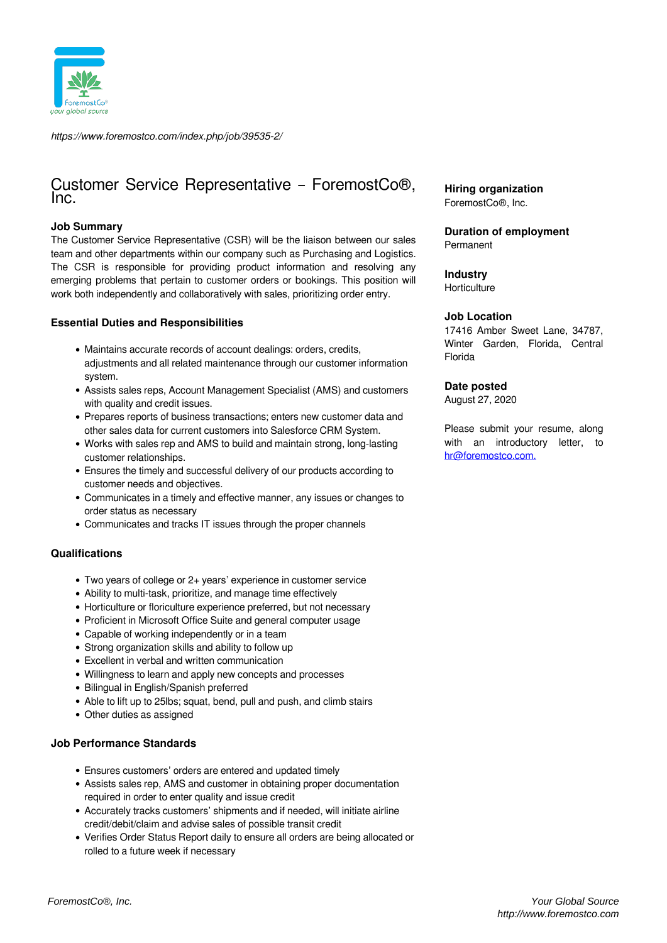

*https://www.foremostco.com/index.php/job/39535-2/*

# Customer Service Representative – ForemostCo®, Inc.

## **Job Summary**

The Customer Service Representative (CSR) will be the liaison between our sales team and other departments within our company such as Purchasing and Logistics. The CSR is responsible for providing product information and resolving any emerging problems that pertain to customer orders or bookings. This position will work both independently and collaboratively with sales, prioritizing order entry.

## **Essential Duties and Responsibilities**

- Maintains accurate records of account dealings: orders, credits, adjustments and all related maintenance through our customer information system.
- Assists sales reps, Account Management Specialist (AMS) and customers with quality and credit issues.
- Prepares reports of business transactions; enters new customer data and other sales data for current customers into Salesforce CRM System.
- Works with sales rep and AMS to build and maintain strong, long-lasting customer relationships.
- Ensures the timely and successful delivery of our products according to customer needs and objectives.
- Communicates in a timely and effective manner, any issues or changes to order status as necessary
- Communicates and tracks IT issues through the proper channels

## **Qualifications**

- Two years of college or 2+ years' experience in customer service
- Ability to multi-task, prioritize, and manage time effectively
- Horticulture or floriculture experience preferred, but not necessary
- Proficient in Microsoft Office Suite and general computer usage
- Capable of working independently or in a team
- Strong organization skills and ability to follow up
- Excellent in verbal and written communication
- Willingness to learn and apply new concepts and processes
- Bilingual in English/Spanish preferred
- Able to lift up to 25lbs; squat, bend, pull and push, and climb stairs
- Other duties as assigned

## **Job Performance Standards**

- Ensures customers' orders are entered and updated timely
- Assists sales rep, AMS and customer in obtaining proper documentation required in order to enter quality and issue credit
- Accurately tracks customers' shipments and if needed, will initiate airline credit/debit/claim and advise sales of possible transit credit
- Verifies Order Status Report daily to ensure all orders are being allocated or rolled to a future week if necessary

**Hiring organization** ForemostCo®, Inc.

**Duration of employment** Permanent

## **Industry**

**Horticulture** 

#### **Job Location**

17416 Amber Sweet Lane, 34787, Winter Garden, Florida, Central Florida

## **Date posted**

August 27, 2020

Please submit your resume, along with an introductory letter, to [hr@foremostco.com.](mailto:hr@foremostco.com)